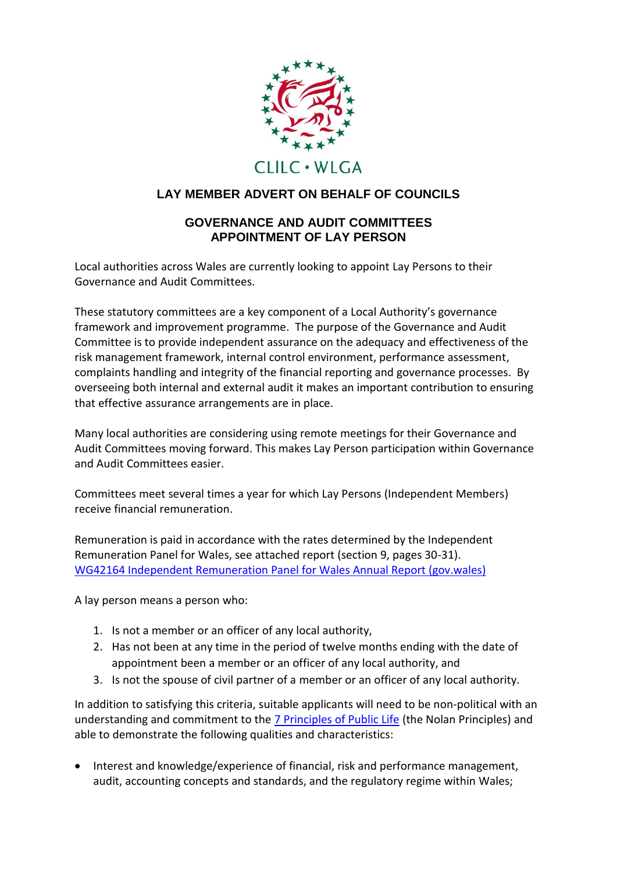

## **LAY MEMBER ADVERT ON BEHALF OF COUNCILS**

## **GOVERNANCE AND AUDIT COMMITTEES APPOINTMENT OF LAY PERSON**

Local authorities across Wales are currently looking to appoint Lay Persons to their Governance and Audit Committees.

These statutory committees are a key component of a Local Authority's governance framework and improvement programme. The purpose of the Governance and Audit Committee is to provide independent assurance on the adequacy and effectiveness of the risk management framework, internal control environment, performance assessment, complaints handling and integrity of the financial reporting and governance processes. By overseeing both internal and external audit it makes an important contribution to ensuring that effective assurance arrangements are in place.

Many local authorities are considering using remote meetings for their Governance and Audit Committees moving forward. This makes Lay Person participation within Governance and Audit Committees easier.

Committees meet several times a year for which Lay Persons (Independent Members) receive financial remuneration.

Remuneration is paid in accordance with the rates determined by the Independent Remuneration Panel for Wales, see attached report (section 9, pages 30-31). [WG42164 Independent Remuneration Panel for Wales Annual Report \(gov.wales\)](https://gov.wales/sites/default/files/publications/2021-02/Independent%20Remuneration%20Panel%20for%20Wales%20-%20Annual%20Report%202021.pdf)

A lay person means a person who:

- 1. Is not a member or an officer of any local authority,
- 2. Has not been at any time in the period of twelve months ending with the date of appointment been a member or an officer of any local authority, and
- 3. Is not the spouse of civil partner of a member or an officer of any local authority.

In addition to satisfying this criteria, suitable applicants will need to be non-political with an understanding and commitment to the [7 Principles of Public Life](https://www.gov.uk/government/publications/the-7-principles-of-public-life) (the Nolan Principles) and able to demonstrate the following qualities and characteristics:

 Interest and knowledge/experience of financial, risk and performance management, audit, accounting concepts and standards, and the regulatory regime within Wales;